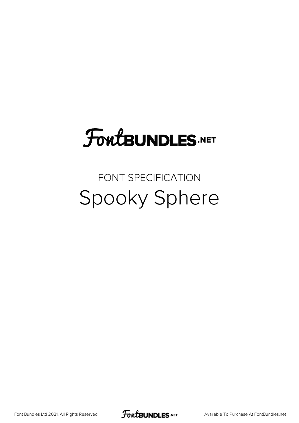# **FoutBUNDLES.NET**

#### FONT SPECIFICATION Spooky Sphere

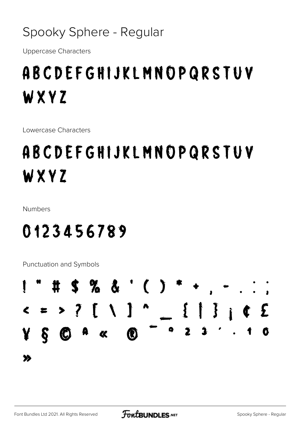#### Spooky Sphere - Regular

**Uppercase Characters** 

## ABCDEFGHIJKLMNOPQRSTUV WXYZ

Lowercase Characters

# ABCDEFGHIJKLMNOPQRSTUV WXYZ

**Numbers** 

### 0123456789

Punctuation and Symbols

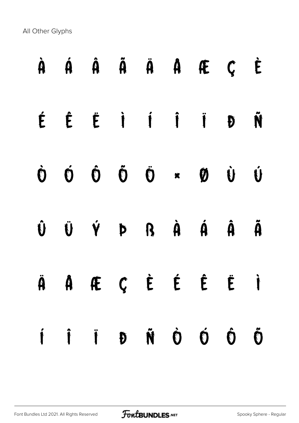All Other Glyphs

|  | À Á Â Ã Ã A Æ Ç È                                                                                                                                                                                                                                                                                                                                                                                                                                                                      |  |                    |   |                      |
|--|----------------------------------------------------------------------------------------------------------------------------------------------------------------------------------------------------------------------------------------------------------------------------------------------------------------------------------------------------------------------------------------------------------------------------------------------------------------------------------------|--|--------------------|---|----------------------|
|  | ÉÉÉÉIIIID                                                                                                                                                                                                                                                                                                                                                                                                                                                                              |  |                    |   | Ñ                    |
|  | $\begin{matrix} \dot{\mathbf{O}} & \dot{\mathbf{O}} & \dot{\mathbf{O}} & \dot{\mathbf{O}} & \dot{\mathbf{O}} & \dot{\mathbf{O}} & \dot{\mathbf{O}} & \dot{\mathbf{O}} & \dot{\mathbf{O}} & \dot{\mathbf{O}} & \dot{\mathbf{O}} & \dot{\mathbf{O}} & \dot{\mathbf{O}} & \dot{\mathbf{O}} & \dot{\mathbf{O}} & \dot{\mathbf{O}} & \dot{\mathbf{O}} & \dot{\mathbf{O}} & \dot{\mathbf{O}} & \dot{\mathbf{O}} & \dot{\mathbf{O}} & \dot{\mathbf{O}} & \dot{\mathbf{O}} & \dot{\mathbf{O}}$ |  |                    |   |                      |
|  | Û Ü Ý Þ R À Á Â                                                                                                                                                                                                                                                                                                                                                                                                                                                                        |  |                    |   | $\tilde{\mathbf{A}}$ |
|  | Ä A Æ Ç È É É Ë Ì                                                                                                                                                                                                                                                                                                                                                                                                                                                                      |  |                    |   |                      |
|  | IÎ J Đ Ñ Ò                                                                                                                                                                                                                                                                                                                                                                                                                                                                             |  | $\dot{\mathbf{O}}$ | Ô | Õ                    |